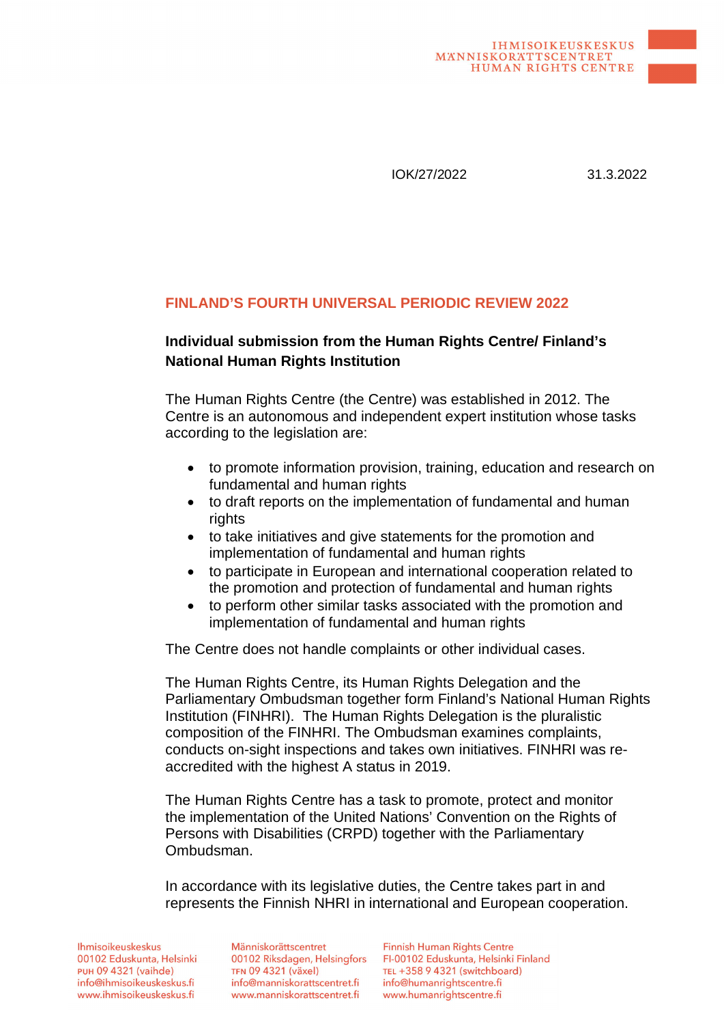IOK/27/2022 31.3.2022

#### **FINLAND'S FOURTH UNIVERSAL PERIODIC REVIEW 2022**

#### **Individual submission from the Human Rights Centre/ Finland's National Human Rights Institution**

The Human Rights Centre (the Centre) was established in 2012. The Centre is an autonomous and independent expert institution whose tasks according to the legislation are:

- to promote information provision, training, education and research on fundamental and human rights
- to draft reports on the implementation of fundamental and human rights
- to take initiatives and give statements for the promotion and implementation of fundamental and human rights
- to participate in European and international cooperation related to the promotion and protection of fundamental and human rights
- to perform other similar tasks associated with the promotion and implementation of fundamental and human rights

The Centre does not handle complaints or other individual cases.

The Human Rights Centre, its Human Rights Delegation and the Parliamentary Ombudsman together form Finland's National Human Rights Institution (FINHRI). The Human Rights Delegation is the pluralistic composition of the FINHRI. The Ombudsman examines complaints, conducts on-sight inspections and takes own initiatives. FINHRI was reaccredited with the highest A status in 2019.

The Human Rights Centre has a task to promote, protect and monitor the implementation of the United Nations' Convention on the Rights of Persons with Disabilities (CRPD) together with the Parliamentary Ombudsman.

In accordance with its legislative duties, the Centre takes part in and represents the Finnish NHRI in international and European cooperation.

**Ihmisoikeuskeskus** 00102 Eduskunta, Helsinki **PUH 09 4321 (vaihde)** info@ihmisoikeuskeskus.fi www.ihmisoikeuskeskus.fi

Människorättscentret 00102 Riksdagen, Helsingfors **TFN 09 4321 (växel)** info@manniskorattscentret.fi www.manniskorattscentret.fi

Finnish Human Rights Centre FI-00102 Eduskunta, Helsinki Finland TEL +358 9 4321 (switchboard) info@humanrightscentre.fi www.humanrightscentre.fi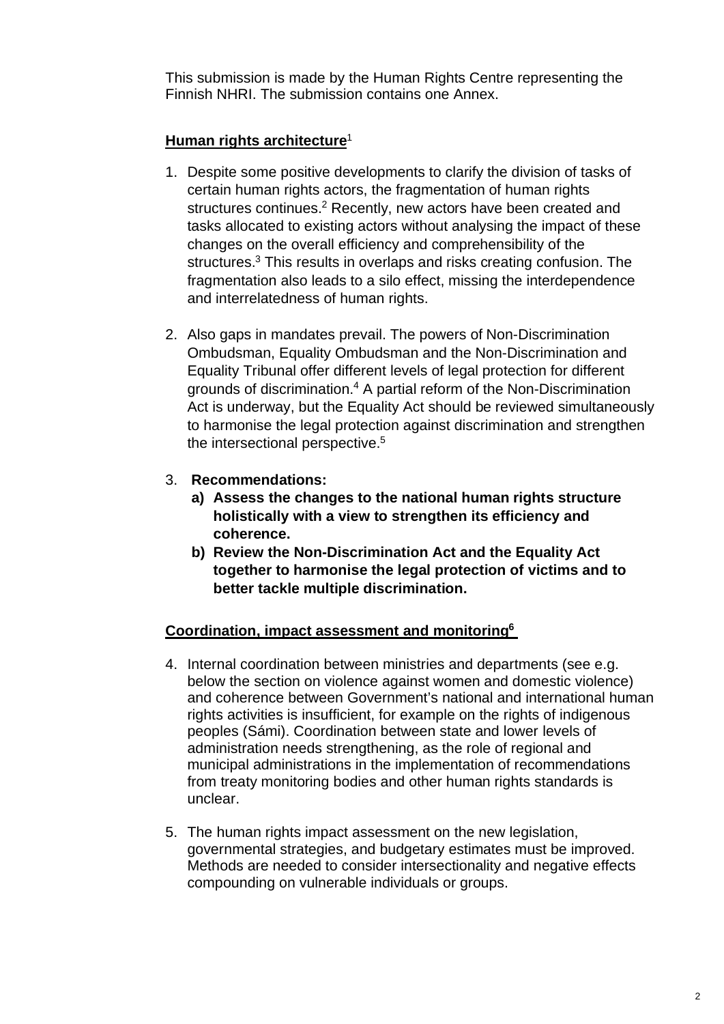This submission is made by the Human Rights Centre representing the Finnish NHRI. The submission contains one Annex.

## **Human rights architecture**[1](#page-7-0)

- 1. Despite some positive developments to clarify the division of tasks of certain human rights actors, the fragmentation of human rights structures continues.<sup>[2](#page-7-1)</sup> Recently, new actors have been created and tasks allocated to existing actors without analysing the impact of these changes on the overall efficiency and comprehensibility of the structures.<sup>[3](#page-7-2)</sup> This results in overlaps and risks creating confusion. The fragmentation also leads to a silo effect, missing the interdependence and interrelatedness of human rights.
- 2. Also gaps in mandates prevail. The powers of Non-Discrimination Ombudsman, Equality Ombudsman and the Non-Discrimination and Equality Tribunal offer different levels of legal protection for different grounds of discrimination.<sup>[4](#page-7-3)</sup> A partial reform of the Non-Discrimination Act is underway, but the Equality Act should be reviewed simultaneously to harmonise the legal protection against discrimination and strengthen the intersectional perspective.[5](#page-7-4)
- 3. **Recommendations:**
	- **a) Assess the changes to the national human rights structure holistically with a view to strengthen its efficiency and coherence.**
	- **b) Review the Non-Discrimination Act and the Equality Act [together to harmonise the legal p](https://www.finlex.fi/fi/esitykset/he/2021/20210179)rotection of victims and to better tackle multiple discrimination.**

### **[Coordination, impact assessment and monito](https://oikeusministerio.fi/hanke?tunnus=OM013:00/2021)ring[6](#page-7-5)**

- [4. Internal coordination between ministries and de](https://oikeusministerio.fi/sv/projekt?tunnus=OM013:00/2021)partments (see e.g. below the section on violence against women and domestic violence) and coherence between Government's national and international human rights activities is insufficient, for example on the rights of indigenous peoples (Sámi). Coordination between state and lower levels of administration needs strengthening, as the role of regional and municipal administrations in the implementation of recommendations from treaty monitoring bodies and other human rights standards is unclear.
- 5. The human rights impact assessment on the new legislation, governmental strategies, and budgetary estimates must be improved. Methods are needed to consider intersectionality and negative effects compounding on vulnerable individuals or groups.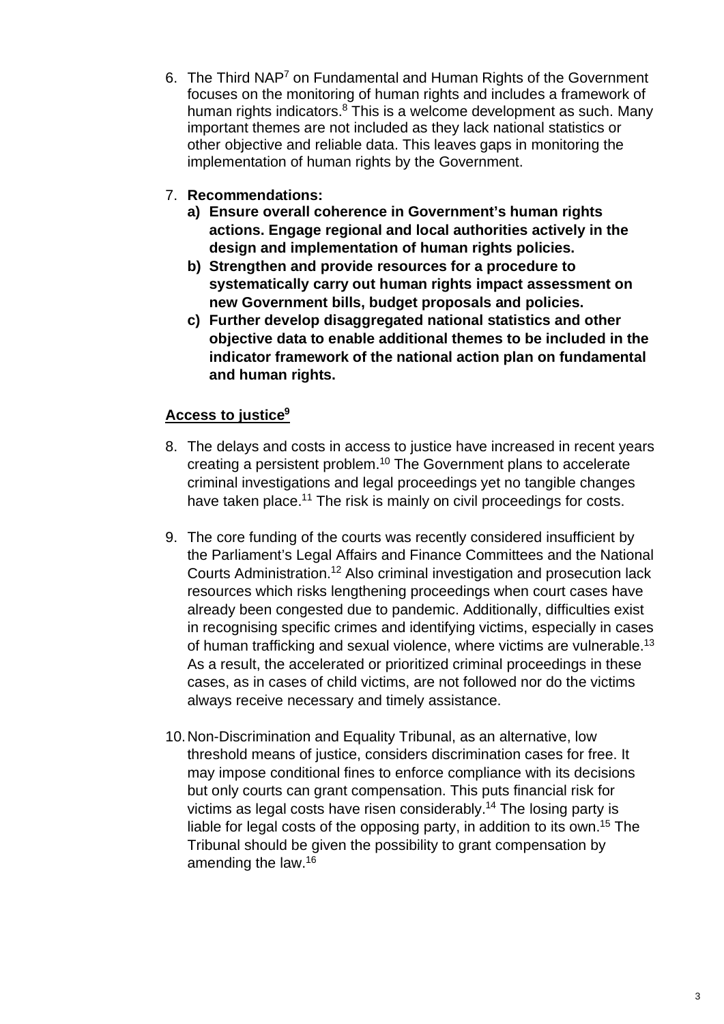- 6. The Third NAP<sup>[7](#page-7-6)</sup> on Fundamental and Human Rights of the Government focuses on the monitoring of human rights and includes a framework of human rights indicators.<sup>[8](#page-7-7)</sup> [This is a welcome development as such. Many](https://tuomioistuinvirasto.fi/en/index/ajankohtaista/currentissues/2022/lackofbasicfundinghamperedthefunctioningofcourtsin2021.html) important themes are not included as they lack national statistics or other objective and reliable data. This leaves gaps in monitoring the implementation of human right[s by the Government.](https://www.okv.fi/fi/ratkaisut/id/1616/)
- 7. **Recommendations:**
	- **a) Ensure overall coherence in G[overnment's human rights](https://www.edilex.fi/artikkelit/21403.pdf) actions. Engage regional and local authorities actively in the design and implementation of human rights policies.**
	- **b) Strengthen and provide resources for a procedure to [systematically carry out human rights impact](https://finlex.fi/fi/laki/kaannokset/1734/en17340004_20150732.pdf) assessment on new Government bills, budget proposals and policies.**
	- **c) Further develop disaggregated national statistics and other objective data to enable additional themes to be included in the indicator framework of the national action plan on fundamental and human rights.**

# **Access to justice[9](#page-7-8)**

- 8. The delays and costs in access to justice have increased in recent years creating a persistent problem.[10](#page-7-9) The Government plans to accelerate criminal investigations and legal proceedings yet no tangible changes have taken place.<sup>[11](#page-7-10)</sup> The risk is mainly on civil proceedings for costs.
- 9. The core funding of the courts was recently considered insufficient by the Parliament's Legal Affairs and Finance Committees and the National Courts Administration.[12](#page-7-11) Also criminal investigation and prosecution lack resources which risks lengthening proceedings when court cases have already been congested due to pandemic. Additionally, difficulties exist in recognising specific crimes and identifying victims, especially in cases of human trafficking and sexual violence, where victims are vulnerable.[13](#page-8-0) As a result, the accelerated or prioritized criminal proceedings in these cases, as in cases of child victims, are not followed nor do the victims [always receive necessary and timely assistan](https://julkaisut.valtioneuvosto.fi/handle/10024/163742)ce.
- 10. Non-Discrimination and Equality Tribunal, as an alternative, low threshold means of justice, consid[ers discrimination cases for free. It](https://poliisi.fi/en/operational-environment-and-statistics) may im[pose conditional fines to enforce compliance with](https://www.oikeusasiamies.fi/en/web/guest/annual-reports) its decisions but only courts can grant compensation. This puts financial risk for [victims as legal costs have risen considera](https://julkaisut.valtioneuvosto.fi/handle/10024/161935)bly.[14](#page-8-1) The losing party is liable [for legal costs of the opposing party, in addition to its own](https://www.eduskunta.fi/FI/vaski/Lausunto/Sivut/LaVL_1+2021.aspx).[15](#page-8-2) The Tribun[al should be given the possibility to grant compensation by](https://www.eduskunta.fi/SV/vaski/Lausunto/Sidor/LaUU_1+2021.aspx) [amending the law.](https://www.eduskunta.fi/FI/vaski/TalousarvioMietinto/Sivut/VaVM_33+2021.aspx)[16](#page-8-3)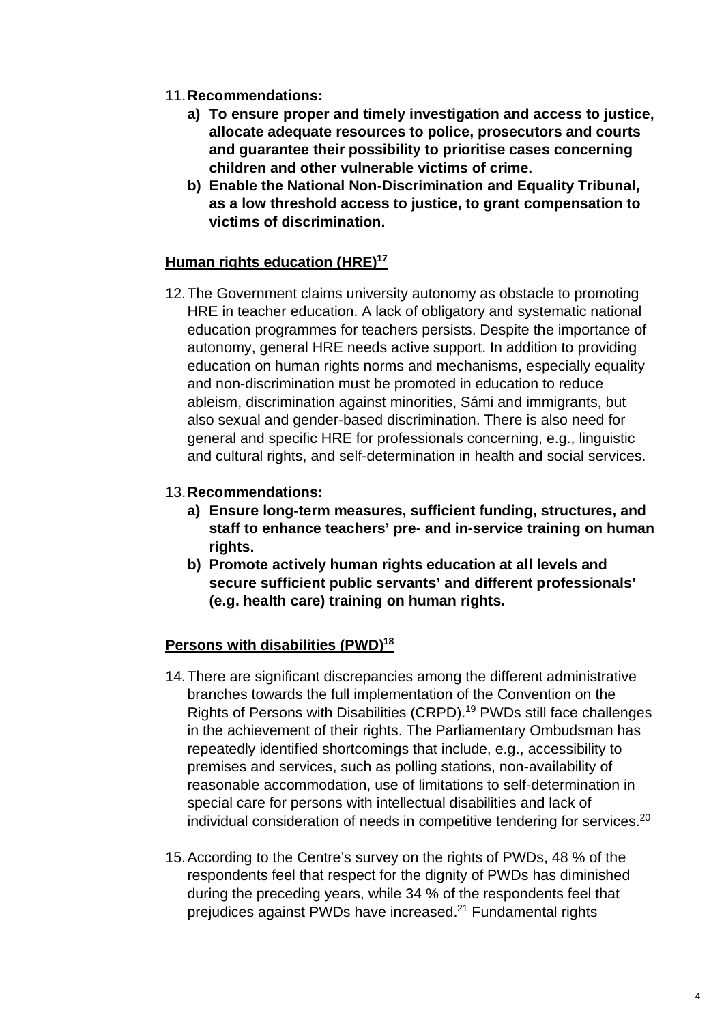- 11.**Recommendations:**
	- **a) To ensure proper and timely investigation and access to justice, allocate adequate resources to police, prosecutors and courts and guarantee their possibility to prioritise cases concerning children and other vulnerable victims of crime.**
	- **b) Enable the National Non-Discrimination and Equality Tribunal, as a low threshold access to justice, to grant compensation to victims of discrimination.**

#### **Human rights education (HRE)[17](#page-8-4)**

12. The Government claims university autonomy as obstacle to promoting HRE in teacher education. A lack of obligatory and systematic national education programmes for teachers persists. Despite the importance of autonomy, general HRE needs active support. In addition to providing education on human rights norms and mechanisms, especially equality and non-discrimination must be promoted in education to reduce [ableism, discrimination against minorities,](https://julkaisut.valtioneuvosto.fi/handle/10024/162687) Sámi and immigrants, but also sexual and gender-based discrimination. There is also need for [general and specific HRE for professionals concerning, e.g., linguistic](https://www.oikeusasiamies.fi/documents/20184/39006/summary2020/2de02ec5-378a-4cf3-8948-89f346b2be3a) and cultural rights, and self-determination in health and social services.

#### 13.**[Recommendations:](https://bin.yhdistysavain.fi/1586428/3Ta34WoNWua29CrBizhv0UnVV-/Vammaisten%20henkil%C3%B6iden%20oikeuksien%20toteutuminen%20arjessa.pdf)**

- **a) Ensure long-term measures, sufficient funding, structures, and staff to enhance teachers' pre- and in-service training on human rights.**
- **b) Promote actively human rights education at all levels and secure sufficient public servants' and different professionals' (e.g. health care) training on human rights.**

### **Persons with disabilities (PWD)[18](#page-8-5)**

- 14. There are significant discrepancies among the different administrative branches towards the full implementation of the Convention on the Rights of Persons with Disabilities (CRPD).<sup>[19](#page-8-6)</sup> PWDs still face challenges in the achievement of their rights. The Parliamentary Ombudsman has repeatedly identified shortcomings that include, e.g., accessibility to premises and services, such as polling stations, non-availability of reasonable accommodation, use of limitations to self-determination in special care for persons with intellectual disabilities and lack of individual consideration of needs in competitive tendering for services.<sup>[20](#page-8-7)</sup>
- 15. According to the Centre's survey on the rights of PWDs, 48 % of the respondents feel that respect for the dignity of PWDs has diminished during the preceding years, while 34 % of the respondents feel that prejudices against PWDs have increased.<sup>[21](#page-8-8)</sup> Fundamental rights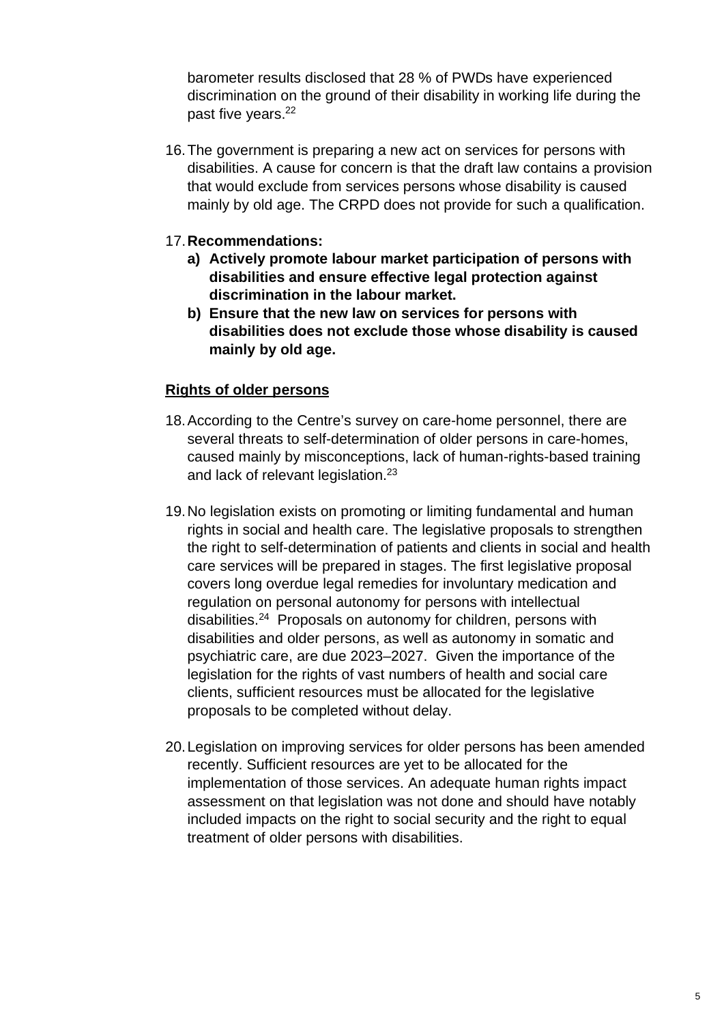barometer results disclosed that 28 % of PWDs have experienced discrimination on the ground of their disability in working life during the past five years.<sup>[22](#page-8-9)</sup>

16. The government is preparing a new act on services for persons with disabilities. A cause for concern is that the draft law contains a provision that would exclude from services persons whose disability is caused mainly by old age. The CRPD does not provide for such a qualification.

#### 17.**Recommendations:**

- **a) Actively promote labour market participation of persons with disabilities and ensure effective legal protection against discrimination in the labour market.**
- **b) Ensure that the new law on services for persons with disabilities does not exclude those whose disability is caused mainly by old age.**

#### **Rights of older persons**

- 18. According to the Centre's survey on care-home personnel, there are several threats to self-determination of older persons in care-homes, caused mainly by misconceptions, lack of human-rights-based training and lack of relevant legislation.<sup>[23](#page-8-10)</sup>
- 19. No legislation exists on promoting or limiting fundamental and human rights in social and health care. The legislative proposals to strengthen [the right to self-determination of patients a](https://julkaisut.valtioneuvosto.fi/handle/10024/163261)nd clients in social and health care services will be prepared in stages. The first legislative proposal covers long overdue legal remedies for involuntary medication and [regulation on personal autonomy for persons with intellectua](https://bin.yhdistysavain.fi/1586428/G1TemXOK4sG2Zatkyzf00VkkR8/IMO-raportti_2021_FI.pdf)l disabilities.[24](#page-8-11) Proposals on autonomy for children, persons with [disabilities and older persons, as well as autonomy in soma](https://bin.yhdistysavain.fi/1598742/32QyClhkFslGegioYk9E0WZwuN/IMO-raportti_2021_SE_24_8.pdf)tic and psychiatric care, are due 2023–2027. Given the importance of the legislation for the rights of vast numbers of health and social care [clients, sufficient resources must be allocated for the legislative](https://search.coe.int/cm/pages/result_details.aspx?objectid=0900001680a48ac7) [proposals to be completed without](https://hudoc.echr.coe.int/eng?i=001-209024) delay.
- 20. Legislation on improving services for older persons has been amended recently. Sufficient resources are yet to be allocated for the implementation of those services. An adequate human rights impact assessment on that legislation was not done and should have notably included impacts on the right to social security and the right to equal treatment of older persons with disabilities.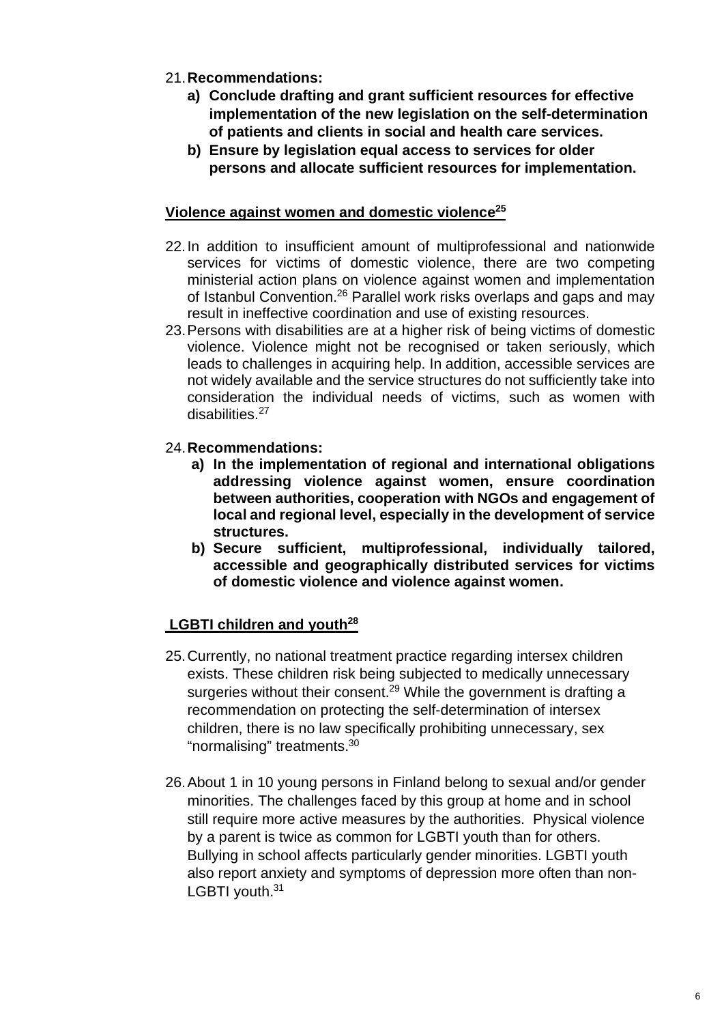- 21.**Recommendations:**
	- **a) Con[clude drafting and grant sufficien](http://urn.fi/URN:ISBN:978-952-383-016-5)t resources for effective implementation of the new legislation on the self-determination of patients and clients in [social and health care services.](http://urn.fi/URN:ISBN:978-952-259-737-3)**
	- **b) Ensure by legislation equal access to services for older persons and allocate s[ufficient resources for implementation.](https://api.hankeikkuna.fi/asiakirjat/3e8dd589-9843-4fb7-bef9-bdae9e5746be/d48353e1-bab9-4404-8066-b0c5a6bf82e6/RAPORTTI_20200207144129.pdf)**

## **Violence against women and domestic violence[25](#page-8-12)**

- [22. In addition to insufficient amou](https://urn.fi/URN:ISBN:978-952-343-580-3)nt of multiprofessional and nationwide services for victims of domestic violence, there are two competing ministerial action plans on violence against women and implementation of Istanbul Convention.[26](#page-8-13) Parallel work risks overlaps and gaps and may result in ineffective coordination and use of existing resources.
- 23. Persons with disabilities are at a higher risk of being victims of domestic violence. Violence might not be recognised or taken seriously, which leads to challenges in acquiring help. In addition, accessible services are not widely available and the service structures do not sufficiently take into consideration the individual needs of victims, such as women with disabilities.[27](#page-8-14)
- 24.**Recommendations:**
	- **a) In the implementation of regional and international obligations addressing violence against women, ensure coordination between authorities, cooperation with NGOs and engagement of local and regional level, especially in the development of service structures.**
	- **b) Secure sufficient, multiprofessional, individually tailored, accessible and geographically distributed services for victims of domestic violence and violence against women.**

# **LGBTI children and youth[28](#page-9-0)**

- 25. Currently, no national treatment practice regarding intersex children exists. These children risk being subjected to medically unnecessary surgeries without their consent.<sup>[29](#page-9-1)</sup> While the government is drafting a recommendation on protecting the self-determination of intersex children, there is no law specifically prohibiting unnecessary, sex "normalising" treatments.[30](#page-9-2)
- 26. About 1 in 10 young persons in Finland belong to sexual and/or gender minorities. The challenges faced by this group at home and in school still require more active measures by the authorities. Physical violence by a parent is twice as common for LGBTI y[outh than for others.](https://oikeusministerio.fi/naisiin-kohdistuvan-vakivallan-torjuntaohjelma) [Bullying in school affects particularly gender minorities. LGBT](https://oikeusministerio.fi/sv/programmet-for-bekampning-av-vald-mot-kvinnor)I youth also report anxiety and symptoms of depression more often than nonLGBTI [youth.](http://urn.fi/URN:ISBN:978-952-00-8659-6)<sup>[31](#page-9-3)</sup>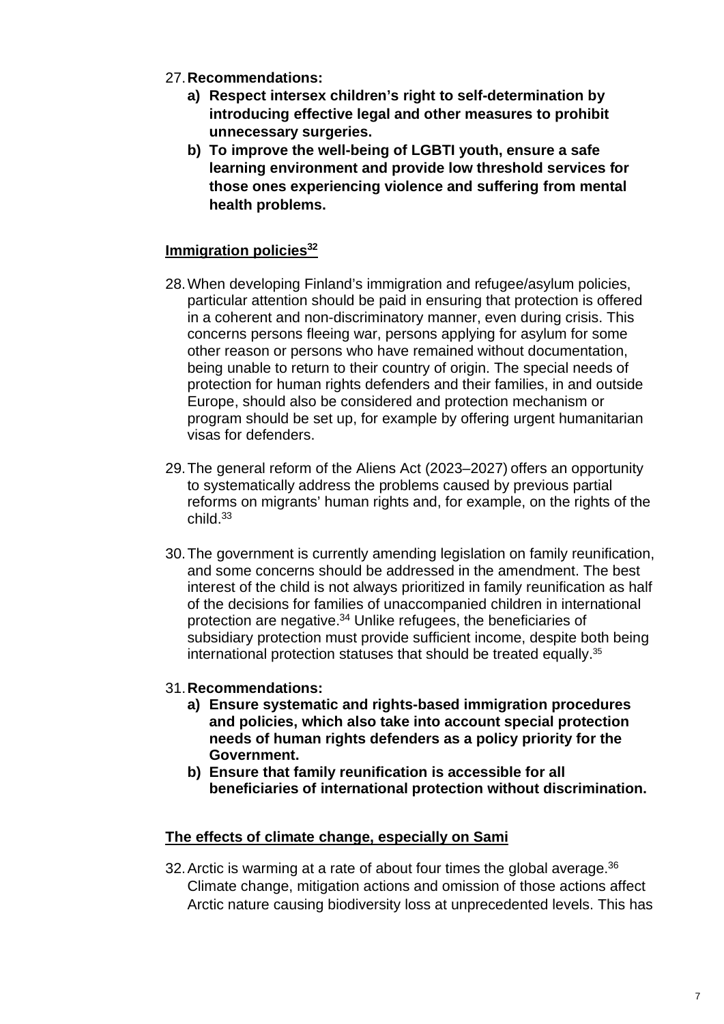- 27.**Recommendations:**
	- **a) Respect intersex children's right to self-determination by introducing effective legal and other measures to prohibit unnecessary surgeries.**
	- **b) To improve the well-being of LGBTI youth, ensure a safe learning environment and provide low threshold services for those ones experiencing violence and suffering from mental health problems.**

#### **Immigration policies[32](#page-9-4)**

- 28. When developing Finland's immigration and refugee/asylum policies, particular attention should be paid in ensuring that protection is offered in a coherent and non-discriminatory manner, even during crisis. This concerns persons fleeing war, [persons applying for asylum for some](https://valtioneuvosto.fi/-/1410869/ulkomaalaislain-muutosten-yhteisvaikutuksia-selvitettiin-monet-suositelluista-toimista-valmisteilla?languageId=en_US) other reason or persons who have remained without documentation, being unable to return to their country of origin. The special needs of protection for human rights defenders and their families, in and outside Europe, should also be considered and protection mechanism or [program should be set up, for example by offering urgent humanitarian](https://syrjinta.fi/documents/25249352/0/Children+without+families+%E2%80%93+family+reunification+of+under-age+beneficiaries+of+international+protection+(PDF).pdf/2ecb870c-69e9-378b-9312-4b63d07b21d9/Children+without+families+%E2%80%93+family+reunification+of+under-age+beneficiaries+of+international+protection+(PDF).pdf?t=1612968552586) visas for defenders.
- 29. The general reform of the Aliens Act (2023–2027) offers an opportunity to systematically address the problems caused by previous partial reforms on migrants' human rights and, fo[r example, on the rights of the](https://rm.coe.int/prems-052917-gbr-1700-realising-refugees-160x240-web/1680724ba0) child.[33](#page-9-5)
- 30. The government [is currently amending legislation on family reunification,](https://assets.researchsquare.com/files/rs-654081/v1_covered.pdf?c=1631873458) and some concerns should be addressed in the amendment. The best interest of the child is not always prioritized in family reunification as half of the decisions for families of unaccompanied children in international protection are negative.[34](#page-9-6) Unlike refugees, the beneficiaries of subsidiary protection must provide sufficient income, despite both being international protection statuses that should be treated equally.[35](#page-9-7)
- 31.**Recommendations:**
	- **a) Ensure systematic and rights-based immigration procedures and policies, which also take into account special protection needs of human rights defenders as a policy priority for the Government.**
	- **b) Ensure that family reunification is accessible for all beneficiaries of international protection without discrimination.**

#### **The effects of climate change, especially on Sami**

32. Arctic is warming at a rate of about four times the global average. $36$ Climate change, mitigation actions and omission of those actions affect Arctic nature causing biodiversity loss at unprecedented levels. This has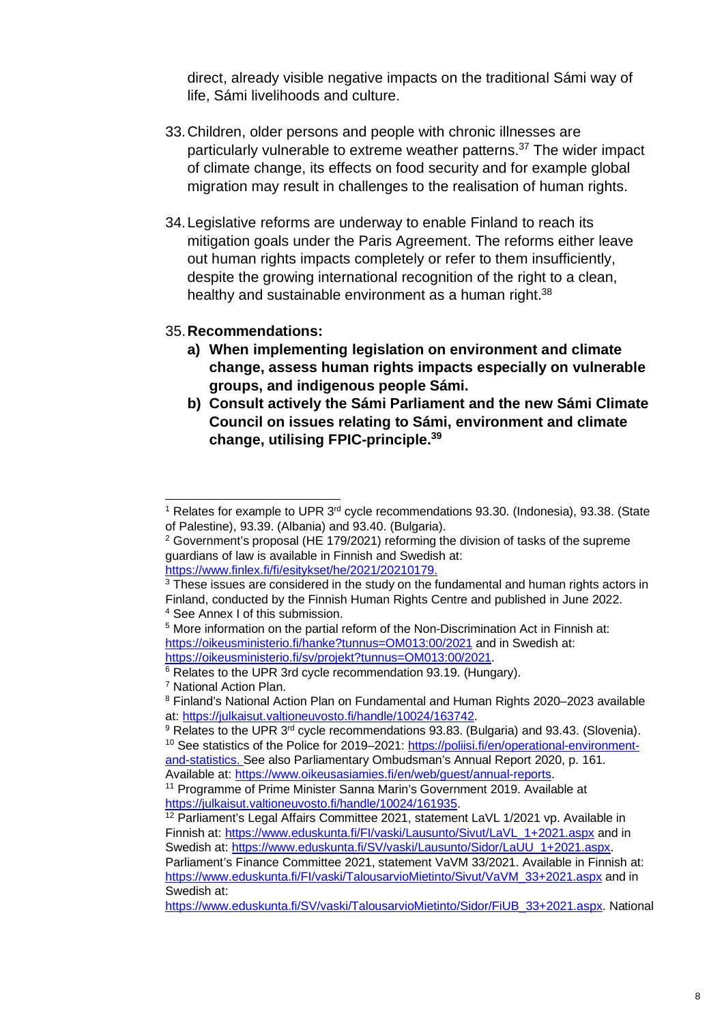direct, already visible negative impacts on the traditional Sámi way of life, Sámi livelihoods and culture.

- 33. Children, older persons and people with chronic illnesses are particularly vulnerable to extreme weather patterns.<sup>[37](#page-9-9)</sup> The wider impact of climate change, its effects on food security and for example global migration may result in challenges to the realisation of human rights.
- 34. Legislative reforms are underway to enable Finland to reach its mitigation goals under the Paris Agreement. The reforms either leave out human rights impacts completely or refer to them insufficiently, despite the growing international recognition of the right to a clean, healthy and sustainable environment as a human right. $38$

#### 35.**Recommendations:**

- **a) When implementing legislation on environment and climate change, assess human rights impacts especially on vulnerable groups, and indigenous people Sámi.**
- **b) Consult actively the Sámi Parliament and the new Sámi Climate Council on issues relating to Sámi, environment and climate change, utilising FPIC-principle.[39](#page-9-11)**

<span id="page-7-0"></span><sup>&</sup>lt;sup>1</sup> Relates for example to UPR 3<sup>rd</sup> cycle recommendations 93.30. (Indonesia), 93.38. (State of Palestine), 93.39. (Albania) and 93.40. (Bulgaria).

<span id="page-7-1"></span> $2$  Government's proposal (HE 179/2021) reforming the division of tasks of the supreme guardians of law is available in Finnish and Swedish at:

https://www.finlex.fi/fi/esitykset/he/2021/20210179.

<span id="page-7-2"></span> $3$  These issues are considered in the stud[y on the fundamental and human rights actors in](https://thl.fi/en/web/environmental-health/climate-and-weather/climate-change) Finland, conducted by the Finnish Human Rights Centre and published in June 2022. 4 See Annex I of this submission.

<span id="page-7-4"></span><span id="page-7-3"></span><sup>&</sup>lt;sup>5</sup> More information on the partial reform of the Non-Discrimination Act in Finnish at: https://oikeusministerio.fi/hanke?tunnus=OM013:00/2021 and in Swedish at: https://oikeusministerio.fi/sv/projekt?tunnus=OM013:00/2021.

<span id="page-7-5"></span><sup>6</sup> Relates to the UPR 3rd cycle recommendation 93.19. (Hungary).

<span id="page-7-6"></span><sup>7</sup> National Action Plan.

<span id="page-7-7"></span><sup>&</sup>lt;sup>8</sup> Finland's National Action Plan on Fundamental and Human Rights 2020–2023 available at: https://julkaisut.valtioneuvosto.fi/handle/10024/163742.

<span id="page-7-9"></span><span id="page-7-8"></span><sup>&</sup>lt;sup>9</sup> Relates to the UPR 3<sup>rd</sup> cycle recommendations 93.83. (Bulgaria) and 93.43. (Slovenia). <sup>10</sup> See statistics of the Police for 2019–2021: https://poliisi.fi/en/operational-environmentand-statistics. See also Parliamentary Ombudsman's Annual Report 2020, p. 161.

Available at: https://www.oikeusasiamies.fi/en/web/guest/annual-reports.

<span id="page-7-10"></span><sup>11</sup> Programme of Prime Minister Sanna Marin's Government 2019. Available at https://julkaisut.valtioneuvosto.fi/handle/10024/161935.

<span id="page-7-11"></span><sup>&</sup>lt;sup>12</sup> Parliament's Legal Affairs Committee 2021, statement LaVL 1/2021 vp. Available in Finnish at: https://www.eduskunta.fi/FI/vaski/Lausunto/Sivut/LaVL\_1+2021.aspx and in Swedish at: https://www.eduskunta.fi/SV/vaski/Lausunto/Sidor/LaUU\_1+2021.aspx.

Parliament's Finance Committee 2021, statement VaVM 33/2021. Available in Finnish at: https://www.eduskunta.fi/FI/vaski/TalousarvioMietinto/Sivut/VaVM\_33+2021.aspx and in Swedish at:

https://www.eduskunta.fi/SV/vaski/TalousarvioMietinto/Sidor/FiUB\_33+2021.aspx. National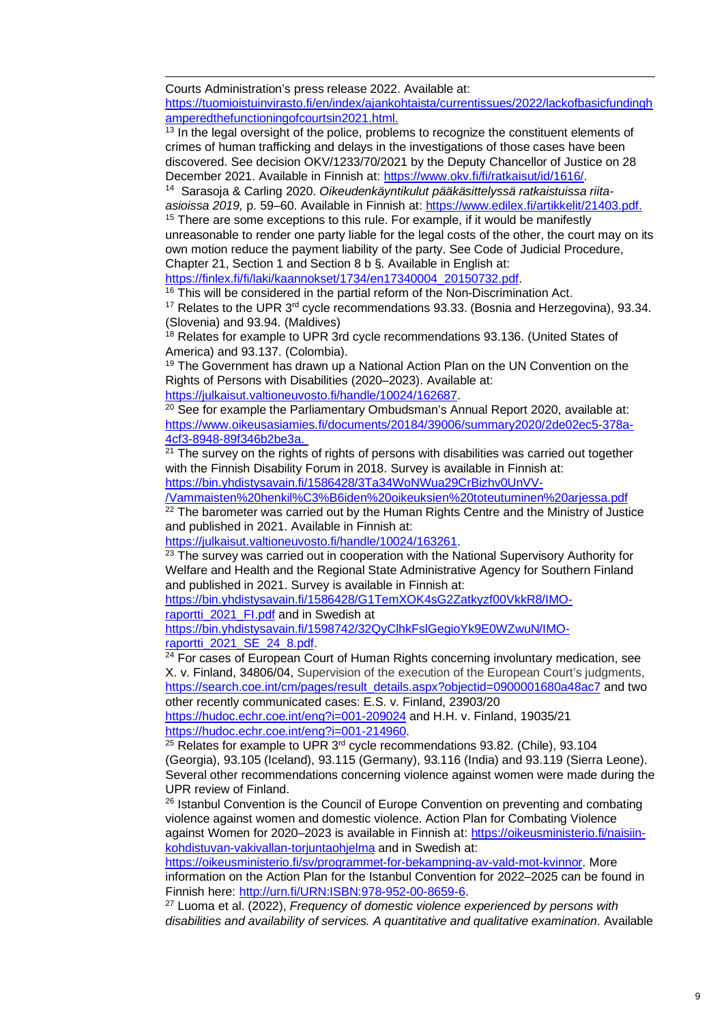Courts Administration's press release 2022. Available at: https://tuomioistuinvirasto.fi/en/index/ajankohtaista/currentissues/2022/lackofbasicfundingh amperedthefunctioningofcourtsin2021.html.

<span id="page-8-0"></span> $13$  In the legal oversight of the police, problems to recognize the constituent elements of crimes of human trafficking and delays in the investigations of those cases have been discovered. See decision OKV/1233/70/2021 by the Deputy Chancellor of Justice on 28 December 2021. Available in Finnish at: https://www.okv.fi/fi/ratkaisut/id/1616/.

<span id="page-8-1"></span><sup>14</sup> Sarasoja & Carling 2020. *Oikeudenkäyntikulut pääkäsittelyssä ratkaistuissa riitaasioissa 2019,* p. 59–60. Available in Finnish at: https://www.edilex.fi/artikkelit/21403.pdf.

<span id="page-8-2"></span> $15$  There are some exceptions to this rule. For example, if it would be manifestly unreasonable to render one party liable for the legal costs of the other, the court may on its own motion reduce the payment liability of the party. See Code of Judicial Procedure, Chapter 21, Section 1 and Section 8 b §. Available in English at:

https://finlex.fi/fi/laki/kaannokset/1734/en17340004\_20150732.pdf.

<span id="page-8-3"></span> $16$  This will be considered in the partial reform of the Non-Discrimination Act.

<span id="page-8-4"></span> $17$  Relates to the UPR  $3<sup>rd</sup>$  cycle recommendations 93.33. (Bosnia and Herzegovina), 93.34. (Slovenia) and 93.94. (Maldives)

<span id="page-8-5"></span><sup>18</sup> Relates for example to UPR 3rd cycle recommendations 93.136. (United States of America) and 93.137. (Colombia).

<span id="page-8-6"></span><sup>19</sup> The Government has drawn up a National Action Plan on the UN Convention on the Rights of Persons with Disabilities (2020–2023). Available at:

https://julkaisut.valtioneuvosto.fi/handle/10024/162687.

<span id="page-8-7"></span> $20$  See for example the Parliamentary Ombudsman's Annual Report 2020, available at: https://www.oikeusasiamies.fi/documents/20184/39006/summary2020/2de02ec5-378a-4cf3-8948-89f346b2be3a.

<span id="page-8-8"></span> $21$  The survey on the rights of rights of persons with disabilities was carried out together with the Finnish Disability Forum in 2018. Survey is available in Finnish at: https://bin.yhdistysavain.fi/1586428/3Ta34WoNWua29CrBizhv0UnVV-

/Vammaisten%20henkil%C3%B6iden%20oikeuksien%20toteutuminen%20arjessa.pdf

<span id="page-8-9"></span> $22$  The barometer was carried out by the Human Rights Centre and the Ministry of Justice and published in 2021. Available in Finnish at:

https://julkaisut.valtioneuvosto.fi/handle/10024/163261.

<span id="page-8-10"></span><sup>23</sup> The survey was carried out in cooperation with the National Supervisory Authority for Welfare and Health and the Regional State Administrative Agency for Southern Finland and published in 2021. Survey is available in Finnish at:

https://bin.yhdistysavain.fi/1586428/G1TemXOK4sG2Zatkyzf00VkkR8/IMOraportti\_2021\_FI.pdf and in Swedish at

https://bin.yhdistysavain.fi/1598742/32QyClhkFslGegioYk9E0WZwuN/IMOraportti 2021 SE 24 8.pdf.

<span id="page-8-11"></span><sup>24</sup> For cases of European Court of Human Rights concerning involuntary medication, see X. v. Finland, 34806/04, Supervision of the execution of the European Court's judgments, https://search.coe.int/cm/pages/result\_details.aspx?objectid=0900001680a48ac7 and two other recently communicated cases: E.S. v. Finland, 23903/20

https://hudoc.echr.coe.int/eng?i=001-209024 and H.H. v. Finland, 19035/21 https://hudoc.echr.coe.int/eng?i=001-214960.

<span id="page-8-12"></span> $25$  Relates for example to UPR  $3<sup>rd</sup>$  cycle recommendations 93.82. (Chile), 93.104 (Georgia), 93.105 (Iceland), 93.115 (Germany), 93.116 (India) and 93.119 (Sierra Leone). Several other recommendations concerning violence against women were made during the UPR review of Finland.

<span id="page-8-13"></span><sup>26</sup> Istanbul Convention is the Council of Europe Convention on preventing and combating violence against women and domestic violence. Action Plan for Combating Violence against Women for 2020–2023 is available in Finnish at: https://oikeusministerio.fi/naisiinkohdistuvan-vakivallan-torjuntaohjelma and in Swedish at:

https://oikeusministerio.fi/sv/programmet-for-bekampning-av-vald-mot-kvinnor. More information on the Action Plan for the Istanbul Convention for 2022–2025 can be found in Finnish here: http://urn.fi/URN:ISBN:978-952-00-8659-6.

<span id="page-8-14"></span><sup>27</sup> Luoma et al. (2022), *Frequency of domestic violence experienced by persons with disabilities and availability of services. A quantitative and qualitative examination*. Available